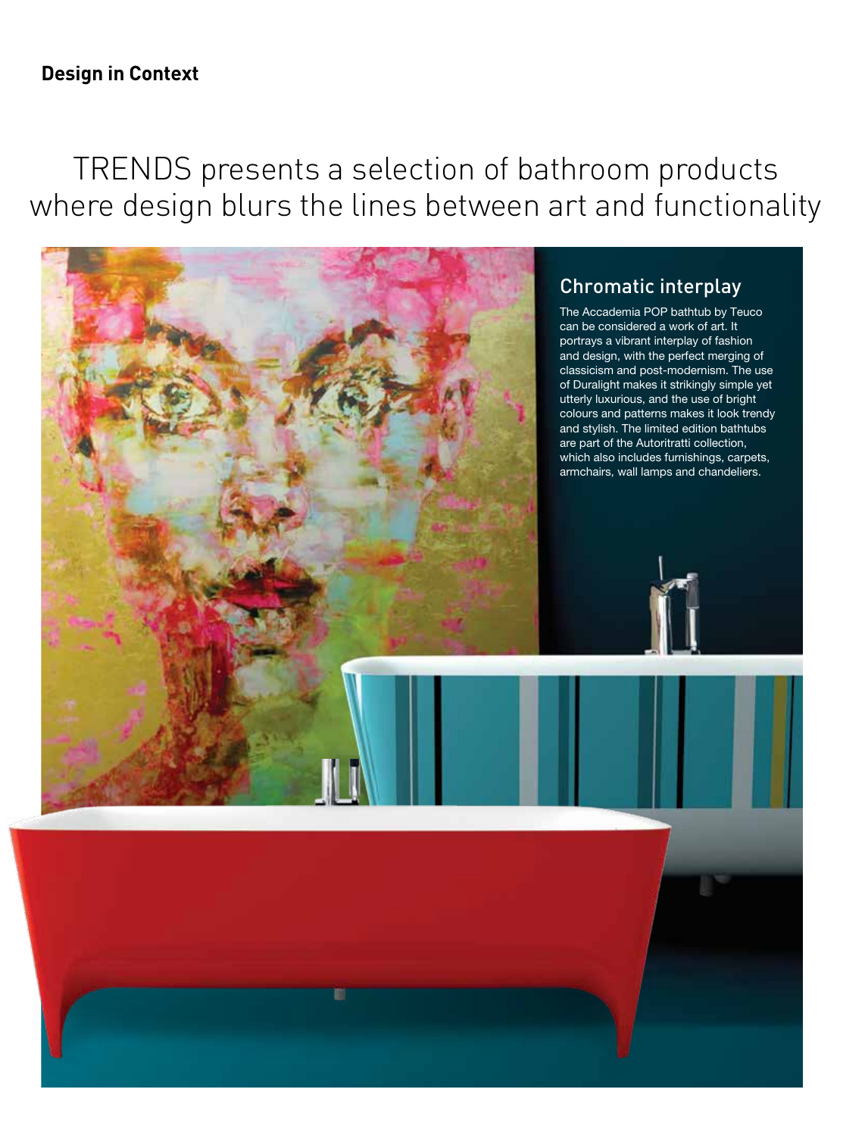18 Home & Design Trends Vol 4 No 5 2016<br>18 Home & Design Trends Vol 4 No 5 2016

# TRENDS presents a selection of bathroom products where design blurs the lines between art and functionality

The Quetzal armchair draws its inspiration from a bird of the same name. Created by French designer Marc Venot, the chair is constructed by fanning out 14 overlapping, two-toned pillows to resemble the feathers of the Quetzal just as it is about to take flight. Part of Spanish furniture manufacturer Missana's



The Accademia POP bathtub by Teuco can be considered a work of art. It portrays a vibrant interplay of fashion and design, with the perfect merging of classicism and post-modernism. The use of Duralight makes it strikingly simple yet utterly luxurious, and the use of bright colours and patterns makes it look trendy and stylish. The limited edition bathtubs are part of the Autoritratti collection, which also includes furnishings, carpets, armchairs, wall lamps and chandeliers.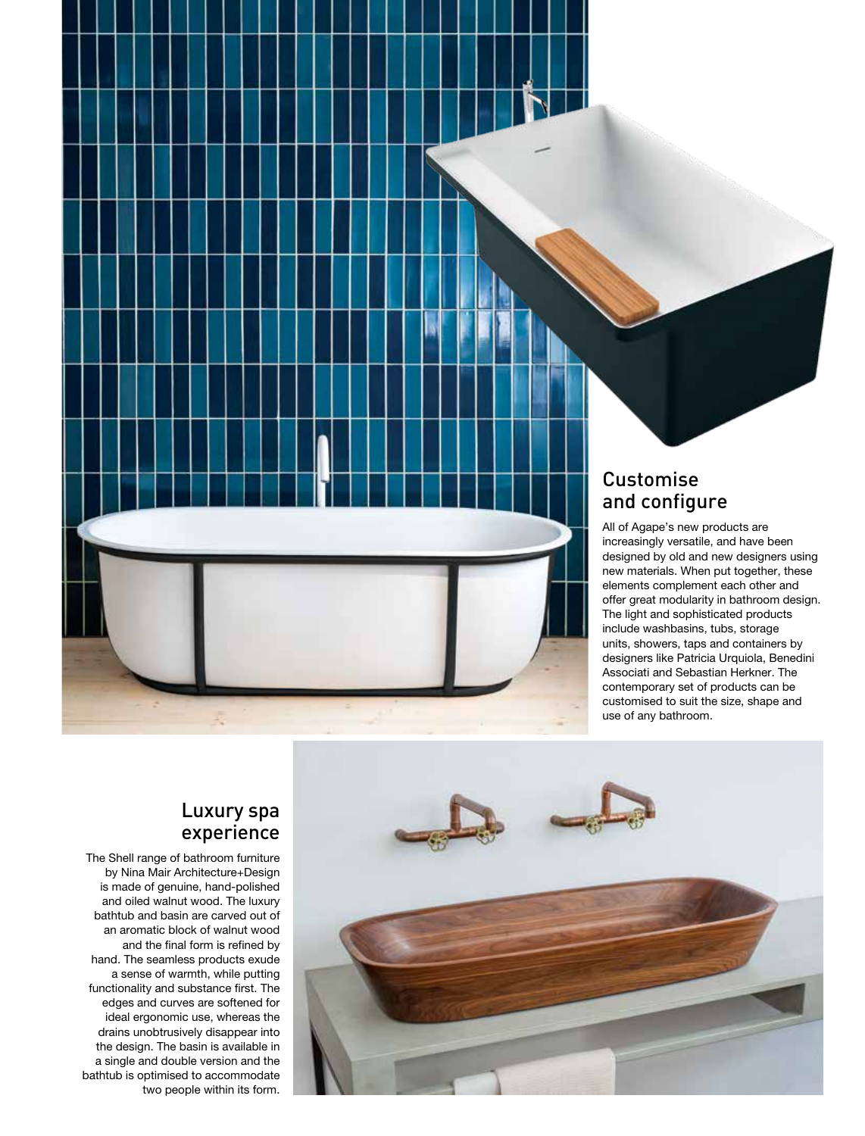

#### Luxury spa experience

The Shell range of bathroom furniture by Nina Mair Architecture+Design is made of genuine, hand-polished and oiled walnut wood. The luxury bathtub and basin are carved out of an aromatic block of walnut wood and the final form is refined by hand. The seamless products exude a sense of warmth, while putting functionality and substance first. The edges and curves are softened for ideal ergonomic use, whereas the drains unobtrusively disappear into the design. The basin is available in a single and double version and the bathtub is optimised to accommodate two people within its form.

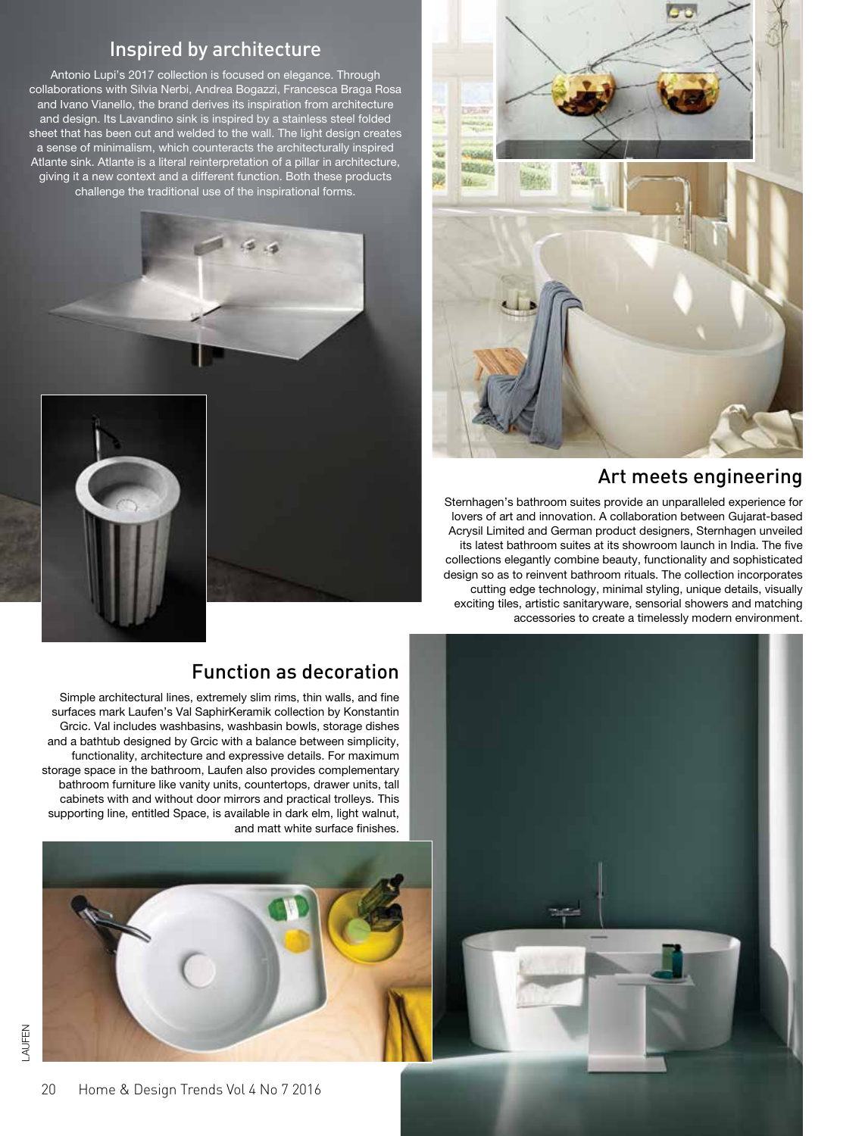

Antonio Lupi's 2017 collection is focused on elegance. Through collaborations with Silvia Nerbi, Andrea Bogazzi, Francesca Braga Rosa and Ivano Vianello, the brand derives its inspiration from architecture and design. Its Lavandino sink is inspired by a stainless steel folded sheet that has been cut and welded to the wall. The light design creates a sense of minimalism, which counteracts the architecturally inspired Atlante sink. Atlante is a literal reinterpretation of a pillar in architecture, giving it a new context and a different function. Both these products challenge the traditional use of the inspirational forms.







Art meets engineering

design so as to reinvent bathroom rituals. The collection incorporates cutting edge technology, minimal styling, unique details, visually exciting tiles, artistic sanitaryware, sensorial showers and matching

accessories to create a timelessly modern environment.

#### Function as decoration

Simple architectural lines, extremely slim rims, thin walls, and fine surfaces mark Laufen's Val SaphirKeramik collection by Konstantin Grcic. Val includes washbasins, washbasin bowls, storage dishes and a bathtub designed by Grcic with a balance between simplicity, functionality, architecture and expressive details. For maximum storage space in the bathroom, Laufen also provides complementary bathroom furniture like vanity units, countertops, drawer units, tall cabinets with and without door mirrors and practical trolleys. This supporting line, entitled Space, is available in dark elm, light walnut, and matt white surface finishes.





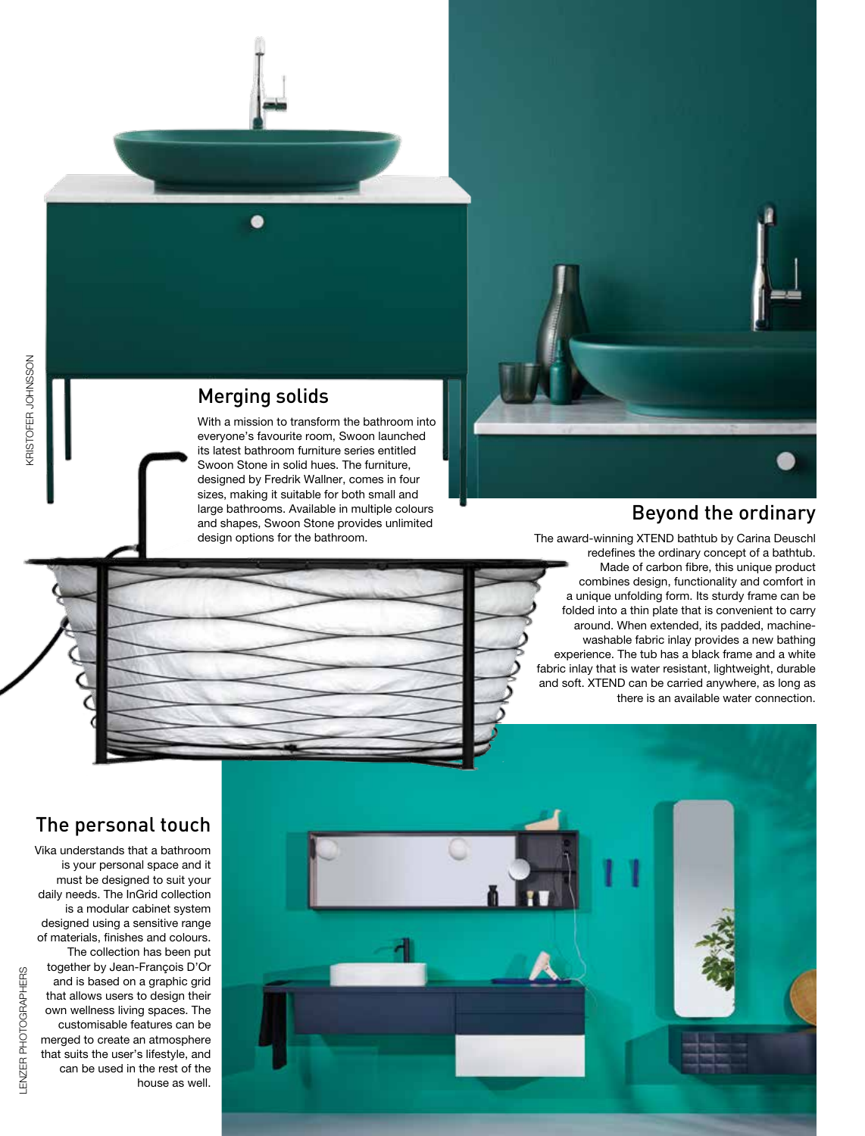

#### Merging solids

With a mission to transform the bathroom into everyone's favourite room, Swoon launched its latest bathroom furniture series entitled Swoon Stone in solid hues. The furniture, designed by Fredrik Wallner, comes in four sizes, making it suitable for both small and large bathrooms. Available in multiple colours and shapes, Swoon Stone provides unlimited design options for the bathroom.

#### Beyond the ordinary

The award-winning XTEND bathtub by Carina Deuschl redefines the ordinary concept of a bathtub. Made of carbon fibre, this unique product combines design, functionality and comfort in a unique unfolding form. Its sturdy frame can be folded into a thin plate that is convenient to carry around. When extended, its padded, machinewashable fabric inlay provides a new bathing experience. The tub has a black frame and a white fabric inlay that is water resistant, lightweight, durable and soft. XTEND can be carried anywhere, as long as there is an available water connection.



## The personal touch

Vika understands that a bathroom is your personal space and it must be designed to suit your daily needs. The InGrid collection is a modular cabinet system designed using a sensitive range of materials, finishes and colours. The collection has been put together by Jean-François D'Or and is based on a graphic grid that allows users to design their own wellness living spaces. The customisable features can be merged to create an atmosphere that suits the user's lifestyle, and can be used in the rest of the house as well.



KRISTOFER JOHNSSON

**KRISTOFER JOHNSSON**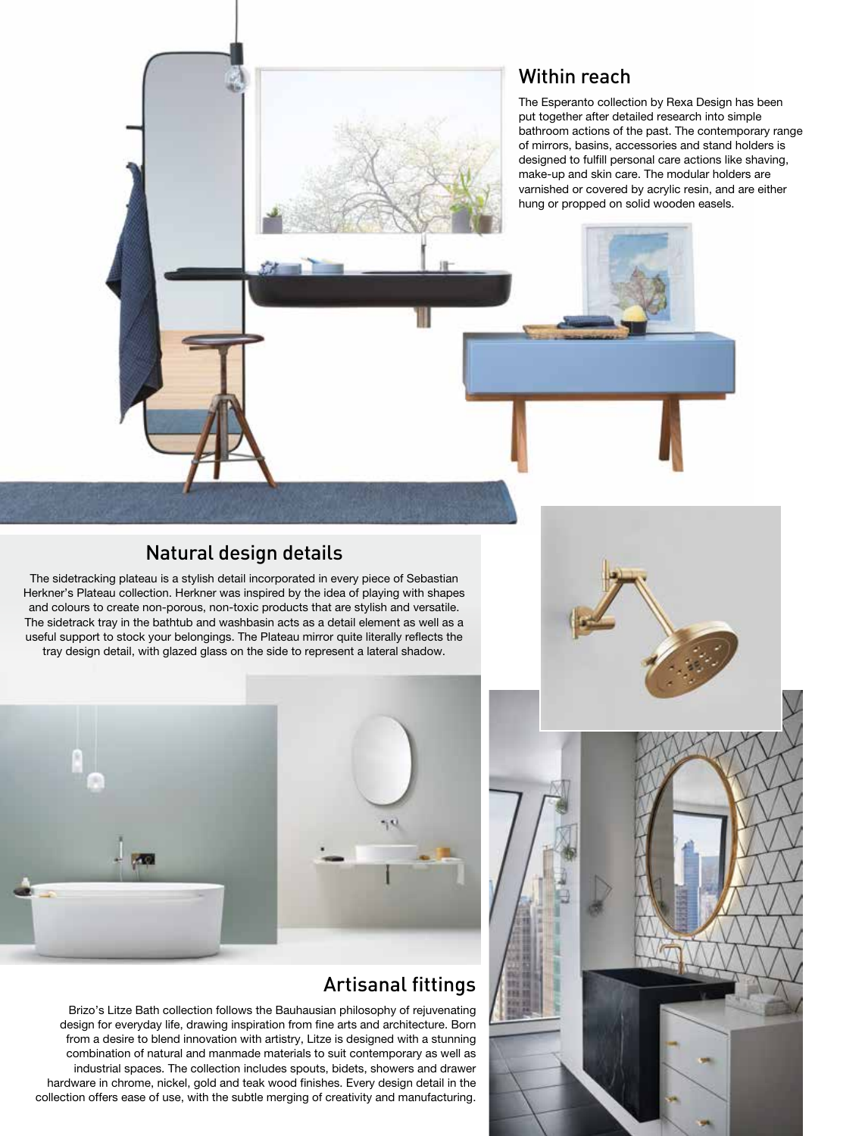#### Within reach

The Esperanto collection by Rexa Design has been put together after detailed research into simple bathroom actions of the past. The contemporary range of mirrors, basins, accessories and stand holders is designed to fulfill personal care actions like shaving, make-up and skin care. The modular holders are varnished or covered by acrylic resin, and are either hung or propped on solid wooden easels.

#### Natural design details

The sidetracking plateau is a stylish detail incorporated in every piece of Sebastian Herkner's Plateau collection. Herkner was inspired by the idea of playing with shapes and colours to create non-porous, non-toxic products that are stylish and versatile. The sidetrack tray in the bathtub and washbasin acts as a detail element as well as a useful support to stock your belongings. The Plateau mirror quite literally reflects the tray design detail, with glazed glass on the side to represent a lateral shadow.



#### Artisanal fittings

Brizo's Litze Bath collection follows the Bauhausian philosophy of rejuvenating design for everyday life, drawing inspiration from fine arts and architecture. Born from a desire to blend innovation with artistry, Litze is designed with a stunning combination of natural and manmade materials to suit contemporary as well as industrial spaces. The collection includes spouts, bidets, showers and drawer hardware in chrome, nickel, gold and teak wood finishes. Every design detail in the collection offers ease of use, with the subtle merging of creativity and manufacturing.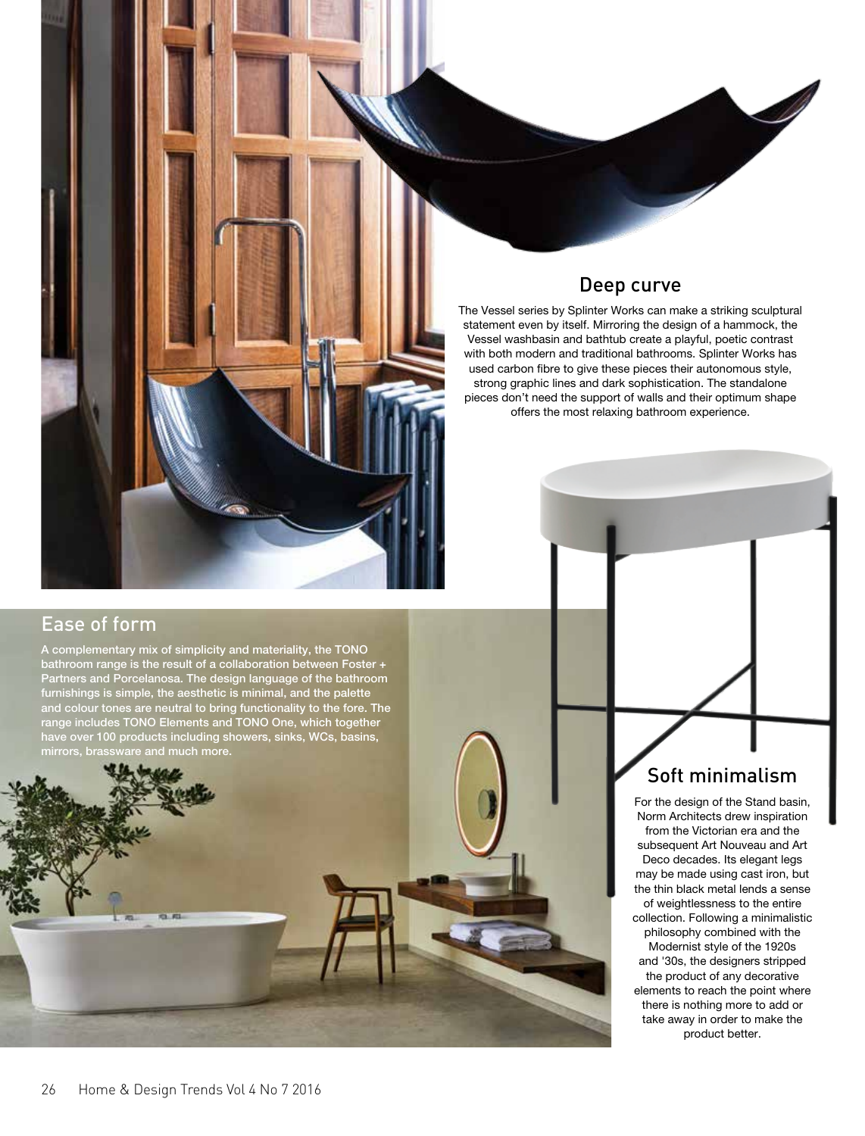#### Deep curve

The Vessel series by Splinter Works can make a striking sculptural statement even by itself. Mirroring the design of a hammock, the Vessel washbasin and bathtub create a playful, poetic contrast with both modern and traditional bathrooms. Splinter Works has used carbon fibre to give these pieces their autonomous style, strong graphic lines and dark sophistication. The standalone pieces don't need the support of walls and their optimum shape offers the most relaxing bathroom experience.

### Ease of form

A complementary mix of simplicity and materiality, the TONO bathroom range is the result of a collaboration between Foster + Partners and Porcelanosa. The design language of the bathroom furnishings is simple, the aesthetic is minimal, and the palette and colour tones are neutral to bring functionality to the fore. The range includes TONO Elements and TONO One, which together have over 100 products including showers, sinks, WCs, basins, mirrors, brassware and much more.



## Soft minimalism

For the design of the Stand basin, Norm Architects drew inspiration from the Victorian era and the subsequent Art Nouveau and Art Deco decades. Its elegant legs may be made using cast iron, but the thin black metal lends a sense of weightlessness to the entire collection. Following a minimalistic philosophy combined with the Modernist style of the 1920s and '30s, the designers stripped the product of any decorative elements to reach the point where there is nothing more to add or take away in order to make the product better.